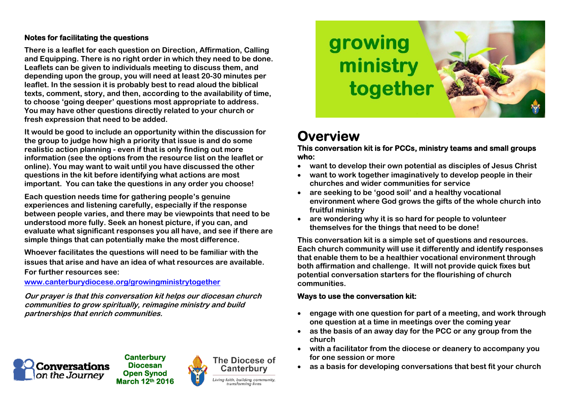### **Notes for facilitating the questions**

**There is a leaflet for each question on Direction, Affirmation, Calling and Equipping. There is no right order in which they need to be done. Leaflets can be given to individuals meeting to discuss them, and depending upon the group, you will need at least 20-30 minutes per leaflet. In the session it is probably best to read aloud the biblical texts, comment, story, and then, according to the availability of time, to choose 'going deeper' questions most appropriate to address. You may have other questions directly related to your church or fresh expression that need to be added.** 

**It would be good to include an opportunity within the discussion for the group to judge how high a priority that issue is and do some realistic action planning - even if that is only finding out more information (see the options from the resource list on the leaflet or online). You may want to wait until you have discussed the other questions in the kit before identifying what actions are most important. You can take the questions in any order you choose!** 

**Each question needs time for gathering people's genuine experiences and listening carefully, especially if the response between people varies, and there may be viewpoints that need to be understood more fully. Seek an honest picture, if you can, and evaluate what significant responses you all have, and see if there are simple things that can potentially make the most difference.** 

**Whoever facilitates the questions will need to be familiar with the issues that arise and have an idea of what resources are available. For further resources see:**

**www.canterburydiocese.org/growingministrytogether**

**Our prayer is that this conversation kit helps our diocesan church communities to grow spiritually, reimagine ministry and build partnerships that enrich communities.** 



**Canterbury Diocesan Open Synod March 12th 2016** 







# **Overview**

**This conversation kit is for PCCs, ministry teams and small groups who:**

- $\bullet$ **want to develop their own potential as disciples of Jesus Christ**
- . **want to work together imaginatively to develop people in their churches and wider communities for service**
- . **are seeking to be 'good soil' and a healthy vocational environment where God grows the gifts of the whole church into fruitful ministry**
- . **are wondering why it is so hard for people to volunteer themselves for the things that need to be done!**

**This conversation kit is a simple set of questions and resources. Each church community will use it differently and identify responses that enable them to be a healthier vocational environment through both affirmation and challenge. It will not provide quick fixes but potential conversation starters for the flourishing of church communities.** 

## **Ways to use the conversation kit:**

- 6 **engage with one question for part of a meeting, and work through one question at a time in meetings over the coming year**
- **as the basis of an away day for the PCC or any group from the church**
- 6 **with a facilitator from the diocese or deanery to accompany you for one session or more**
- $\bullet$ **as a basis for developing conversations that best fit your church**